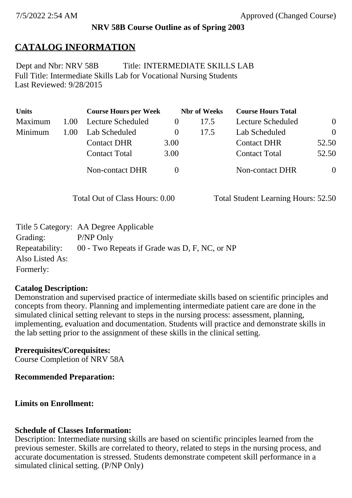### **NRV 58B Course Outline as of Spring 2003**

# **CATALOG INFORMATION**

Full Title: Intermediate Skills Lab for Vocational Nursing Students Last Reviewed: 9/28/2015 Dept and Nbr: NRV 58B Title: INTERMEDIATE SKILLS LAB

| <b>Units</b> |      | <b>Course Hours per Week</b> |          | <b>Nbr</b> of Weeks | <b>Course Hours Total</b> |                |
|--------------|------|------------------------------|----------|---------------------|---------------------------|----------------|
| Maximum      | 1.00 | Lecture Scheduled            | $\theta$ | 17.5                | Lecture Scheduled         | $\theta$       |
| Minimum      | 1.00 | Lab Scheduled                | $\theta$ | 17.5                | Lab Scheduled             | $\theta$       |
|              |      | <b>Contact DHR</b>           | 3.00     |                     | <b>Contact DHR</b>        | 52.50          |
|              |      | <b>Contact Total</b>         | 3.00     |                     | <b>Contact Total</b>      | 52.50          |
|              |      | <b>Non-contact DHR</b>       |          |                     | Non-contact DHR           | $\overline{0}$ |

Total Out of Class Hours: 0.00 Total Student Learning Hours: 52.50

|                 | Title 5 Category: AA Degree Applicable        |
|-----------------|-----------------------------------------------|
| Grading:        | P/NP Only                                     |
| Repeatability:  | 00 - Two Repeats if Grade was D, F, NC, or NP |
| Also Listed As: |                                               |
| Formerly:       |                                               |

## **Catalog Description:**

Demonstration and supervised practice of intermediate skills based on scientific principles and concepts from theory. Planning and implementing intermediate patient care are done in the simulated clinical setting relevant to steps in the nursing process: assessment, planning, implementing, evaluation and documentation. Students will practice and demonstrate skills in the lab setting prior to the assignment of these skills in the clinical setting.

## **Prerequisites/Corequisites:**

Course Completion of NRV 58A

#### **Recommended Preparation:**

# **Limits on Enrollment:**

# **Schedule of Classes Information:**

Description: Intermediate nursing skills are based on scientific principles learned from the previous semester. Skills are correlated to theory, related to steps in the nursing process, and accurate documentation is stressed. Students demonstrate competent skill performance in a simulated clinical setting. (P/NP Only)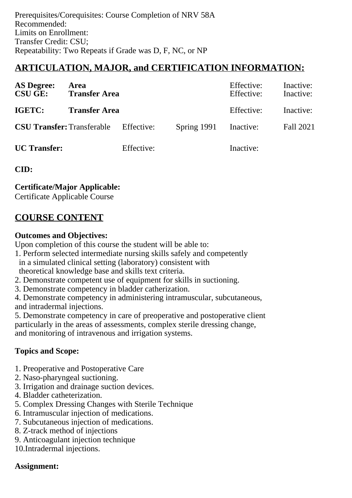Prerequisites/Corequisites: Course Completion of NRV 58A Recommended: Limits on Enrollment: Transfer Credit: CSU; Repeatability: Two Repeats if Grade was D, F, NC, or NP

## **ARTICULATION, MAJOR, and CERTIFICATION INFORMATION:**

| <b>AS Degree:</b><br><b>CSU GE:</b> | <b>Area</b><br><b>Transfer Area</b> |            |             | Effective:<br>Effective: | Inactive:<br>Inactive: |
|-------------------------------------|-------------------------------------|------------|-------------|--------------------------|------------------------|
| IGETC:                              | <b>Transfer Area</b>                |            |             | Effective:               | Inactive:              |
| <b>CSU Transfer: Transferable</b>   |                                     | Effective: | Spring 1991 | Inactive:                | Fall 2021              |
| <b>UC</b> Transfer:                 |                                     | Effective: |             | Inactive:                |                        |

**CID:**

**Certificate/Major Applicable:** 

[Certificate Applicable Course](SR_ClassCheck.aspx?CourseKey=NRV58B)

# **COURSE CONTENT**

#### **Outcomes and Objectives:**

Upon completion of this course the student will be able to:

- 1. Perform selected intermediate nursing skills safely and competently in a simulated clinical setting (laboratory) consistent with theoretical knowledge base and skills text criteria.
- 2. Demonstrate competent use of equipment for skills in suctioning.
- 3. Demonstrate competency in bladder catherization.

4. Demonstrate competency in administering intramuscular, subcutaneous, and intradermal injections.

5. Demonstrate competency in care of preoperative and postoperative client particularly in the areas of assessments, complex sterile dressing change, and monitoring of intravenous and irrigation systems.

#### **Topics and Scope:**

- 1. Preoperative and Postoperative Care
- 2. Naso-pharyngeal suctioning.
- 3. Irrigation and drainage suction devices.
- 4. Bladder catheterization.
- 5. Complex Dressing Changes with Sterile Technique
- 6. Intramuscular injection of medications.
- 7. Subcutaneous injection of medications.
- 8. Z-track method of injections
- 9. Anticoagulant injection technique
- 10.Intradermal injections.

#### **Assignment:**